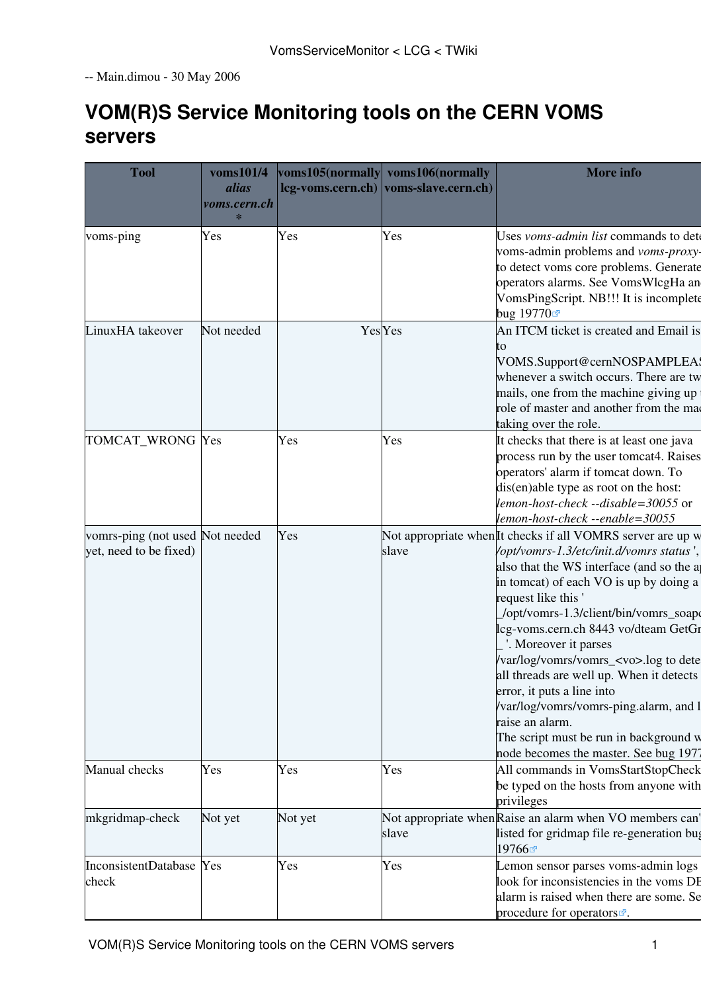-- Main.dimou - 30 May 2006

# **VOM(R)S Service Monitoring tools on the CERN [VOMS](https://twiki.cern.ch/twiki/bin/view/LCG/VOMS) servers**

| <b>Tool</b>                                               | voms101/4<br>alias<br>voms.cern.ch<br>$\ast$ |         | voms105(normally voms106(normally<br>lcg-voms.cern.ch) voms-slave.cern.ch) | <b>More</b> info                                                                                                                                                                                                                                                                                                                                                                                                                                                                                                                                                                                               |
|-----------------------------------------------------------|----------------------------------------------|---------|----------------------------------------------------------------------------|----------------------------------------------------------------------------------------------------------------------------------------------------------------------------------------------------------------------------------------------------------------------------------------------------------------------------------------------------------------------------------------------------------------------------------------------------------------------------------------------------------------------------------------------------------------------------------------------------------------|
| voms-ping                                                 | Yes                                          | Yes     | Yes                                                                        | Uses <i>voms-admin list</i> commands to dete<br>voms-admin problems and voms-proxy-<br>to detect voms core problems. Generate<br>operators alarms. See VomsWlcgHa an<br>VomsPingScript. NB!!! It is incomplete<br>bug 19770☞                                                                                                                                                                                                                                                                                                                                                                                   |
| LinuxHA takeover                                          | Not needed                                   |         | <b>Yes</b> Yes                                                             | An ITCM ticket is created and Email is<br>VOMS.Support@cernNOSPAMPLEAS<br>whenever a switch occurs. There are tw<br>mails, one from the machine giving up<br>role of master and another from the ma<br>taking over the role.                                                                                                                                                                                                                                                                                                                                                                                   |
| TOMCAT_WRONG Yes                                          |                                              | Yes     | Yes                                                                        | It checks that there is at least one java<br>process run by the user tomcat4. Raises<br>operators' alarm if tomcat down. To<br>dis(en)able type as root on the host:<br>lemon-host-check --disable=30055 or<br>lemon-host-check --enable=30055                                                                                                                                                                                                                                                                                                                                                                 |
| vomrs-ping (not used Not needed<br>yet, need to be fixed) |                                              | Yes     | slave                                                                      | Not appropriate when It checks if all VOMRS server are up w<br>/opt/vomrs-1.3/etc/init.d/vomrs status'<br>also that the WS interface (and so the ap-<br>in tomcat) of each VO is up by doing a<br>request like this '<br>/opt/vomrs-1.3/client/bin/vomrs_soape<br>lcg-voms.cern.ch 8443 vo/dteam GetGr<br>'. Moreover it parses<br>/var/log/vomrs/vomrs_ <vo>.log to dete<br/>all threads are well up. When it detects<br/>error, it puts a line into<br/>/var/log/vomrs/vomrs-ping.alarm, and 1<br/>raise an alarm.<br/>The script must be run in background w<br/>node becomes the master. See bug 1977</vo> |
| Manual checks                                             | Yes                                          | Yes     | Yes                                                                        | All commands in VomsStartStopCheck<br>be typed on the hosts from anyone with<br>privileges                                                                                                                                                                                                                                                                                                                                                                                                                                                                                                                     |
| mkgridmap-check                                           | Not yet                                      | Not yet | slave                                                                      | Not appropriate when Raise an alarm when VO members can'<br>listed for gridmap file re-generation bug<br>19766₫                                                                                                                                                                                                                                                                                                                                                                                                                                                                                                |
| InconsistentDatabase Yes<br>check                         |                                              | Yes     | Yes                                                                        | Lemon sensor parses voms-admin logs<br>look for inconsistencies in the voms DE<br>alarm is raised when there are some. Se<br>procedure for operators                                                                                                                                                                                                                                                                                                                                                                                                                                                           |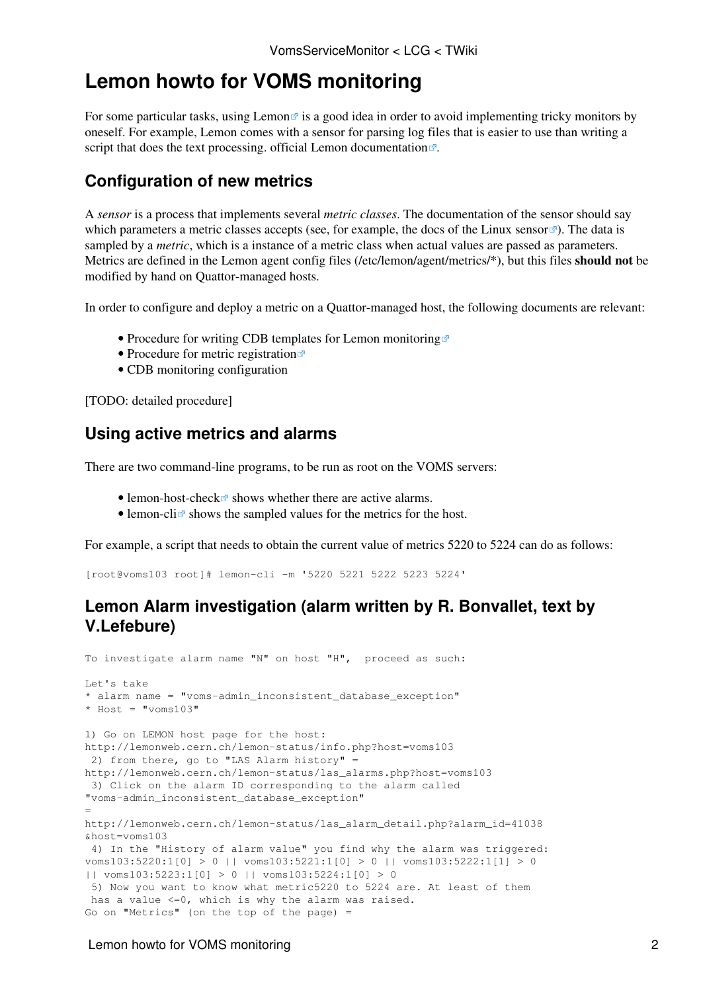## **Lemon howto for [VOMS](https://twiki.cern.ch/twiki/bin/view/LCG/VOMS) monitoring**

For some particular tasks, using [Lemon](http://cern.ch/lemon)  $\vec{r}$  is a good idea in order to avoid implementing tricky monitors by oneself. For example, Lemon comes with a sensor for parsing log files that is easier to use than writing a script that does the text processing. [official Lemon documentation](http://lemon.web.cern.ch/lemon/docs.shtml) .

### **Configuration of new metrics**

A *sensor* is a process that implements several *metric classes*. The documentation of the sensor should say which parameters a metric classes accepts (see, for example, the docs of the [Linux sensor](http://lemon.web.cern.ch/lemon/doc/sensors/linux.shtml)  $\mathbb{F}$ ). The data is sampled by a *metric*, which is a instance of a metric class when actual values are passed as parameters. Metrics are defined in the Lemon agent config files (/etc/lemon/agent/metrics/\*), but this files **should not** be modified by hand on Quattor-managed hosts.

In order to configure and deploy a metric on a Quattor-managed host, the following documents are relevant:

- [Procedure for writing CDB templates for Lemon monitoring](http://lemon.web.cern.ch/lemon/doc/howto/lemon_cdb_howto.shtml)
- [Procedure for metric registration](http://lemon.web.cern.ch/lemon/doc/sensor_metric_registration.shtml)
- [CDB monitoring configuration](https://twiki.cern.ch/twiki/bin/view/FIOgroup/CDBMonitoringConfiguration)

[TODO: detailed procedure]

#### **Using active metrics and alarms**

There are two command-line programs, to be run as root on the [VOMS](https://twiki.cern.ch/twiki/bin/view/LCG/VOMS) servers:

- [lemon-host-check](http://lemon.web.cern.ch/lemon/doc/components/lemon-host-check.shtml)  $\vec{r}$  shows whether there are active alarms.
- $\bullet$  lemon-cli $\bullet$  shows the sampled values for the metrics for the host.

For example, a script that needs to obtain the current value of metrics 5220 to 5224 can do as follows:

[root@voms103 root]# lemon-cli -m '5220 5221 5222 5223 5224'

#### **Lemon Alarm investigation (alarm written by R. Bonvallet, text by V.Lefebure)**

```
To investigate alarm name "N" on host "H", proceed as such:
Let's take 
* alarm name = "voms-admin_inconsistent_database_exception"
* Host = "\text{voms}103"1) Go on LEMON host page for the host:
http://lemonweb.cern.ch/lemon-status/info.php?host=voms103
  2) from there, go to "LAS Alarm history" =
http://lemonweb.cern.ch/lemon-status/las_alarms.php?host=voms103
 3) Click on the alarm ID corresponding to the alarm called
"voms-admin_inconsistent_database_exception"
=
http://lemonweb.cern.ch/lemon-status/las_alarm_detail.php?alarm_id=41038
&host=voms103
 4) In the "History of alarm value" you find why the alarm was triggered:
voms103:5220:1[0] > 0 || voms103:5221:1[0] > 0 || voms103:5222:1[1] > 0
|| voms103:5223:1[0] > 0 || voms103:5224:1[0] > 0
 5) Now you want to know what metric5220 to 5224 are. At least of them
 has a value <=0, which is why the alarm was raised.
Go on "Metrics" (on the top of the page) =
```